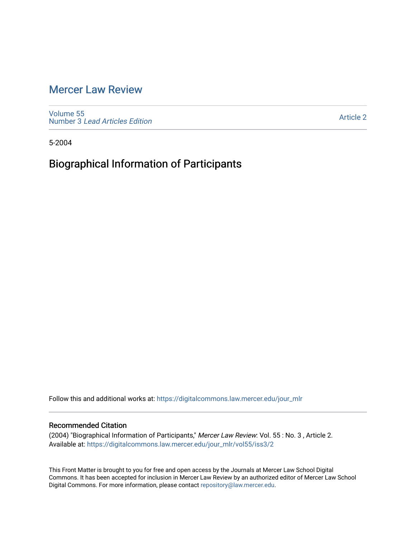### [Mercer Law Review](https://digitalcommons.law.mercer.edu/jour_mlr)

[Volume 55](https://digitalcommons.law.mercer.edu/jour_mlr/vol55) Number 3 [Lead Articles Edition](https://digitalcommons.law.mercer.edu/jour_mlr/vol55/iss3)

[Article 2](https://digitalcommons.law.mercer.edu/jour_mlr/vol55/iss3/2) 

5-2004

## Biographical Information of Participants

Follow this and additional works at: [https://digitalcommons.law.mercer.edu/jour\\_mlr](https://digitalcommons.law.mercer.edu/jour_mlr?utm_source=digitalcommons.law.mercer.edu%2Fjour_mlr%2Fvol55%2Fiss3%2F2&utm_medium=PDF&utm_campaign=PDFCoverPages)

### Recommended Citation

(2004) "Biographical Information of Participants," Mercer Law Review: Vol. 55 : No. 3 , Article 2. Available at: [https://digitalcommons.law.mercer.edu/jour\\_mlr/vol55/iss3/2](https://digitalcommons.law.mercer.edu/jour_mlr/vol55/iss3/2?utm_source=digitalcommons.law.mercer.edu%2Fjour_mlr%2Fvol55%2Fiss3%2F2&utm_medium=PDF&utm_campaign=PDFCoverPages)

This Front Matter is brought to you for free and open access by the Journals at Mercer Law School Digital Commons. It has been accepted for inclusion in Mercer Law Review by an authorized editor of Mercer Law School Digital Commons. For more information, please contact [repository@law.mercer.edu](mailto:repository@law.mercer.edu).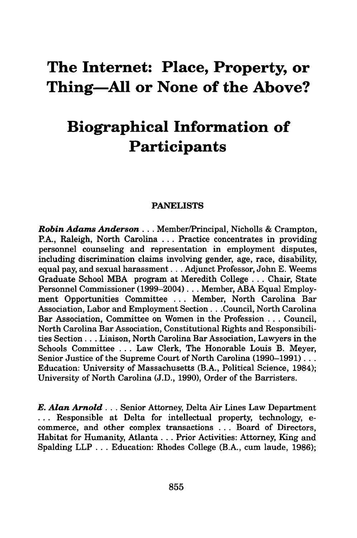## **The Internet: Place, Property, or Thing-All or None of the Above?**

# **Biographical Information of Participants**

### **PANELISTS**

*Robin Adams Anderson...* Member/Principal, Nicholls **&** Crampton, P.A., Raleigh, North Carolina **...** Practice concentrates in providing personnel counseling and representation in employment disputes, including discrimination claims involving gender, age, race, disability, equal pay, and sexual harassment... Adjunct Professor, John E. Weems Graduate School MBA program at Meredith College ... Chair, State Personnel Commissioner (1999-2004) **...** Member, ABA Equal Employment Opportunities Committee ... Member, North Carolina Bar Association, Labor and Employment Section.. .Council, North Carolina Bar Association, Committee on Women in the Profession . . . Council, North Carolina Bar Association, Constitutional Rights and Responsibilities Section **...** Liaison, North Carolina Bar Association, Lawyers in the Schools Committee ... Law Clerk, The Honorable Louis B. Meyer, Senior Justice of the Supreme Court of North Carolina (1990–1991)... Education: University of Massachusetts (B.A., Political Science, 1984); University of North Carolina (J.D., 1990), Order of the Barristers.

*E. Alan Arnold...* Senior Attorney, Delta Air Lines Law Department **...** Responsible at Delta for intellectual property, technology, ecommerce, and other complex transactions **...** Board of Directors, Habitat for Humanity, Atlanta **...** Prior Activities: Attorney, King and Spalding LLP **.. .** Education: Rhodes College (B.A., cum laude, **1986);**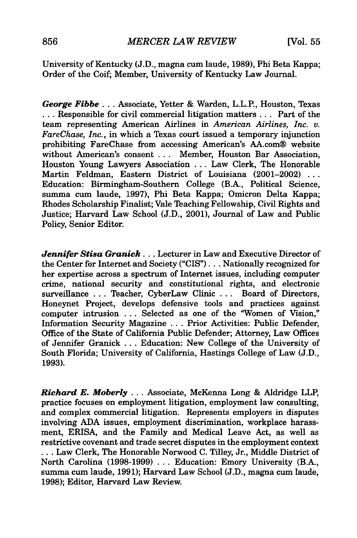University of Kentucky (J.D., magna cum laude, 1989), Phi Beta Kappa; Order of the Coif; Member, University of Kentucky Law Journal.

*George Fibbe...* Associate, Yetter & Warden, L.L.P., Houston, Texas ... Responsible for civil commercial litigation matters ... Part of the team representing American Airlines in *American Airlines, Inc. v. FareChase, Inc.,* in which a Texas court issued a temporary injunction prohibiting FareChase from accessing American's AA.com® website without American's consent ... Member, Houston Bar Association, Houston Young Lawyers Association ... Law Clerk, The Honorable Martin Feldman, Eastern District of Louisiana (2001-2002) ... Education: Birmingham-Southern College (B.A., Political Science, summa cum laude, 1997), Phi Beta Kappa; Omicron Delta Kappa; Rhodes Scholarship Finalist; Vale Teaching Fellowship, Civil Rights and Justice; Harvard Law School (J.D., 2001), Journal of Law and Public Policy, Senior Editor.

*Jennifer Stisa Granick...* Lecturer in Law and Executive Director of the Center for Internet and Society **("CIS")...** Nationally recognized for her expertise across a spectrum of Internet issues, including computer crime, national security and constitutional rights, and electronic surveillance **...** Teacher, CyberLaw Clinic **...** Board of Directors, Honeynet Project, develops defensive tools and practices against computer intrusion **...** Selected as one of the "Women of Vision," Information Security Magazine **...** Prior Activities: Public Defender, Office of the State of California Public Defender; Attorney, Law Offices of Jennifer Granick **...** Education: New College of the University of South Florida; University of California, Hastings College of Law **(J.D., 1993).**

*Richard E. Moberly* **...** Associate, McKenna Long & Aldridge LLP, practice focuses on employment litigation, employment law consulting, and complex commercial litigation. Represents employers in disputes involving **ADA** issues, employment discrimination, workplace harassment, ERISA, and the Family and Medical Leave Act, as **well** as restrictive covenant and trade secret disputes in the employment context **...** Law Clerk, The Honorable Norwood **C.** Tilley, Jr., Middle District of North Carolina **(1998-1999) ...** Education: Emory University (B.A., sunma cum laude, **1991);** Harvard Law School **(J.D.,** magna cum laude, **1998);** Editor, Harvard Law Review.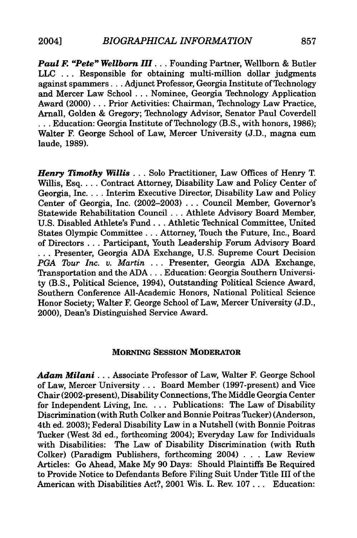*Paul F. "Pete" Wellborn III...* Founding Partner, Wellborn & Butler **LLC ...** Responsible for obtaining multi-million dollar judgments against **spammers...** Adjunct Professor, Georgia Institute of Technology and Mercer Law School **...** Nominee, Georgia Technology Application Award (2000)... Prior Activities: Chairman, Technology Law Practice, Arnall, Golden **&** Gregory; Technology Advisor, Senator Paul Coverdell **...** Education: Georgia Institute of Technology (B.S., with honors, **1986);** Walter F. George School of Law, Mercer University **(J.D.,** magna cum laude, **1989).**

*Henry Timothy Willis...* Solo Practitioner, Law Offices of Henry T. Willis, Esq. . . . Contract Attorney, Disability Law and Policy Center of Georgia, Inc **....** Interim Executive Director, Disability Law and Policy Center of Georgia, Inc. **(2002-2003) ...** Council Member, Governor's Statewide Rehabilitation Council. **. .** Athlete Advisory Board Member, **U.S.** Disabled Athlete's **Fund...** Athletic Technical Committee, United States Olympic **Committee...** Attorney, Touch the Future, Inc., Board of Directors **...** Participant, Youth Leadership Forum Advisory Board **...** Presenter, Georgia **ADA** Exchange, **U.S.** Supreme Court Decision *PGA Tour Inc. v. Martin* **...** Presenter, Georgia **ADA** Exchange, Transportation and the **ADA...** Education: Georgia Southern University (B.S., Political Science, 1994), Outstanding Political Science Award, Southern Conference All-Academic Honors, National Political Science Honor Society; Walter F. George School of Law, Mercer University **(J.D.,** 2000), Dean's Distinguished Service Award.

#### **MORNING SESSION MODERATOR**

*Adam Milani* **...** Associate Professor of Law, Walter **F.** George School of Law, Mercer University... Board Member (1997-present) and Vice Chair (2002-present), Disability Connections, The Middle Georgia Center for Independent Living, Inc. **..** . Publications: The Law of Disability Discrimination (with Ruth Colker and Bonnie Poitras Tucker) (Anderson, 4th ed. **2003);** Federal Disability Law in a Nutshell (with Bonnie Poitras Tucker (West **3d** ed., forthcoming 2004); Everyday Law for Individuals with Disabilities: The Law of Disability Discrimination (with Ruth Colker) (Paradigm Publishers, forthcoming 2004) **. . .** Law Review Articles: Go Ahead, Make **My 90** Days: Should Plaintiffs Be Required to Provide Notice to Defendants Before Filing Suit Under Title **III** of the American with Disabilities Act?, 2001 Wis. L. Rev. **107...** Education: